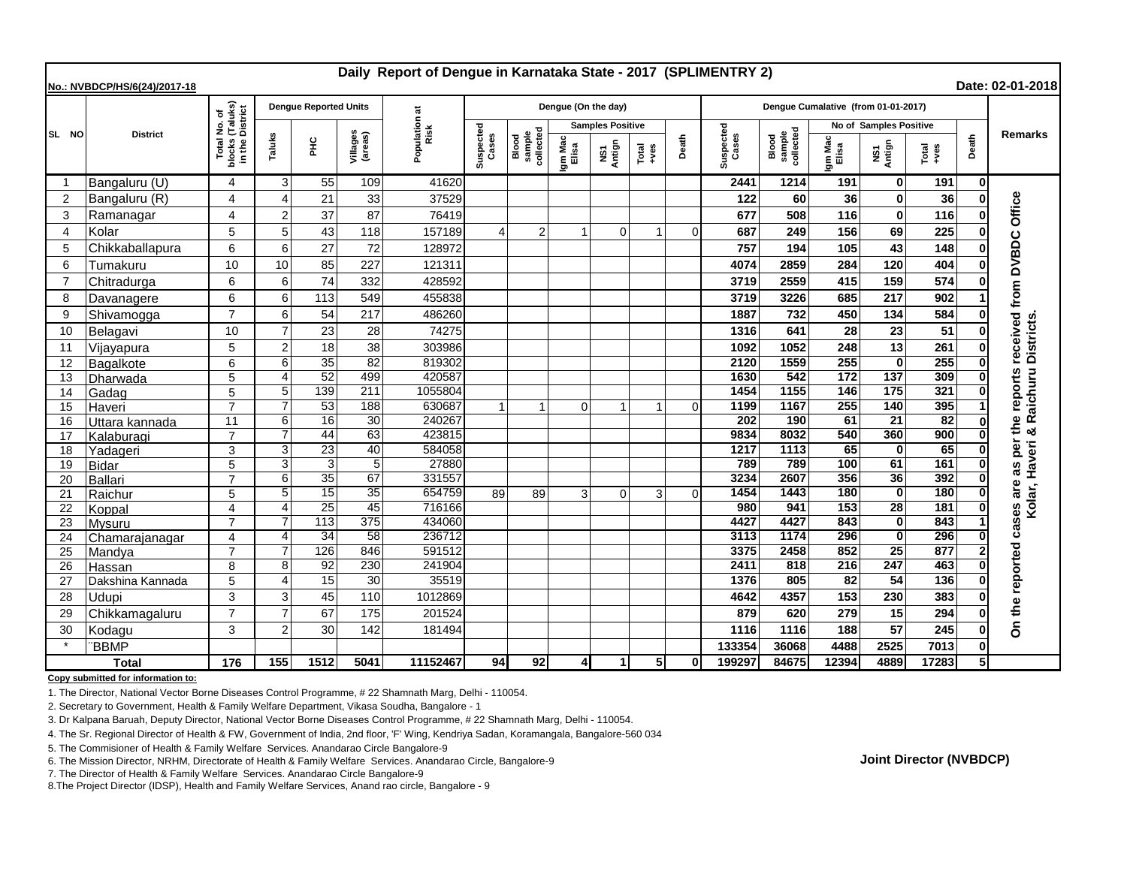| Daily Report of Dengue in Karnataka State - 2017 (SPLIMENTRY 2)<br>Date: 02-01-2018<br>No.: NVBDCP/HS/6(24)/2017-18 |                  |                                                    |                       |                              |                       |                       |                |                                                    |                         |                |                                                              |          |                                     |                              |                        |                    |               |       |                                                          |
|---------------------------------------------------------------------------------------------------------------------|------------------|----------------------------------------------------|-----------------------|------------------------------|-----------------------|-----------------------|----------------|----------------------------------------------------|-------------------------|----------------|--------------------------------------------------------------|----------|-------------------------------------|------------------------------|------------------------|--------------------|---------------|-------|----------------------------------------------------------|
|                                                                                                                     | <b>District</b>  |                                                    |                       | <b>Dengue Reported Units</b> |                       |                       |                |                                                    | Dengue (On the day)     |                |                                                              |          | Dengue Cumalative (from 01-01-2017) |                              |                        |                    |               |       |                                                          |
| SL NO                                                                                                               |                  | Total No. of<br>blocks (Taluks)<br>in the District |                       |                              |                       | Population at<br>Risk |                | Suspected<br>sample<br>collected<br>Cases<br>Blood | <b>Samples Positive</b> |                |                                                              |          |                                     |                              | No of Samples Positive |                    |               |       |                                                          |
|                                                                                                                     |                  |                                                    | Taluks                | 울                            | Villages<br>(areas)   |                       |                |                                                    | Igm Mac<br>Elisa        | NS1<br>Antign  | $\begin{array}{c}\n\text{Total} \\ \text{Area}\n\end{array}$ | Death    | Suspected<br>Cases                  | sample<br>collected<br>Blood | Igm Mac<br>Elisa       | NS1<br>Antign      | Total<br>+ves | Death | Remarks                                                  |
| -1                                                                                                                  | Bangaluru (U)    | 4                                                  | 3                     | 55                           | 109                   | 41620                 |                |                                                    |                         |                |                                                              |          | 2441                                | 1214                         | 191                    | $\bf{0}$           | 191           | 01    |                                                          |
| $\overline{2}$                                                                                                      | Bangaluru (R)    | 4                                                  | $\boldsymbol{\Delta}$ | 21                           | 33                    | 37529                 |                |                                                    |                         |                |                                                              |          | 122                                 | 60                           | 36                     | O                  | 36            |       | Office                                                   |
| 3                                                                                                                   | Ramanagar        | 4                                                  | $\overline{2}$        | 37                           | 87                    | 76419                 |                |                                                    |                         |                |                                                              |          | 677                                 | 508                          | 116                    | 0                  | 116           |       |                                                          |
| $\overline{4}$                                                                                                      | Kolar            | 5                                                  | 5                     | 43                           | 118                   | 157189                | $\Delta$       | $\overline{2}$                                     |                         | $\overline{0}$ |                                                              | $\Omega$ | 687                                 | 249                          | 156                    | 69                 | 225           |       |                                                          |
| 5                                                                                                                   | Chikkaballapura  | 6                                                  | 6                     | 27                           | 72                    | 128972                |                |                                                    |                         |                |                                                              |          | 757                                 | 194                          | 105                    | 43                 | 148           |       |                                                          |
| 6                                                                                                                   | Tumakuru         | 10                                                 | 10                    | 85                           | 227                   | 121311                |                |                                                    |                         |                |                                                              |          | 4074                                | 2859                         | 284                    | 120                | 404           |       | <b>DVBDC</b>                                             |
| 7                                                                                                                   | Chitradurga      | 6                                                  | 6                     | 74                           | 332                   | 428592                |                |                                                    |                         |                |                                                              |          | 3719                                | 2559                         | 415                    | 159                | 574           |       |                                                          |
| 8                                                                                                                   | Davanagere       | 6                                                  | 6                     | 113                          | 549                   | 455838                |                |                                                    |                         |                |                                                              |          | 3719                                | 3226                         | 685                    | 217                | 902           |       |                                                          |
| 9                                                                                                                   | Shivamogga       | $\overline{7}$                                     | 6                     | 54                           | 217                   | 486260                |                |                                                    |                         |                |                                                              |          | 1887                                | 732                          | 450                    | 134                | 584           |       |                                                          |
| 10                                                                                                                  | Belagavi         | 10                                                 | $\overline{7}$        | 23                           | 28                    | 74275                 |                |                                                    |                         |                |                                                              |          | 1316                                | 641                          | 28                     | 23                 | 51            |       | as per the reports received from<br>& Raichuru Districts |
| 11                                                                                                                  | Vijayapura       | 5                                                  | $\overline{c}$        | 18                           | 38                    | 303986                |                |                                                    |                         |                |                                                              |          | 1092                                | 1052                         | 248                    | 13                 | 261           |       |                                                          |
| 12                                                                                                                  | Bagalkote        | 6                                                  | 6                     | $\overline{35}$              | $\overline{82}$       | 819302                |                |                                                    |                         |                |                                                              |          | 2120                                | 1559                         | 255                    | $\bf{0}$           | 255           | 0     |                                                          |
| 13                                                                                                                  | <b>Dharwada</b>  | 5                                                  | $\boldsymbol{\Delta}$ | $\overline{52}$              | 499                   | 420587                |                |                                                    |                         |                |                                                              |          | 1630                                | 542                          | 172                    | $\overline{137}$   | 309           |       |                                                          |
| 14                                                                                                                  | Gadag            | 5                                                  | 5                     | 139                          | 211                   | 1055804               |                |                                                    |                         |                |                                                              |          | 1454                                | 1155                         | 146                    | 175                | 321           |       |                                                          |
| 15                                                                                                                  | Haveri           | $\overline{7}$                                     | 7                     | 53                           | 188                   | 630687                | $\overline{1}$ | 1                                                  | $\Omega$                | $\mathbf 1$    |                                                              | $\Omega$ | 1199                                | 1167                         | 255                    | 140                | 395           |       |                                                          |
| 16                                                                                                                  | Uttara kannada   | 11                                                 | 6                     | 16                           | 30                    | 240267                |                |                                                    |                         |                |                                                              |          | 202                                 | 190                          | 61                     | $\overline{21}$    | 82            |       |                                                          |
| 17                                                                                                                  | Kalaburagi       | $\overline{7}$                                     | $\overline{7}$        | 44                           | 63                    | 423815                |                |                                                    |                         |                |                                                              |          | 9834                                | 8032                         | 540                    | 360                | 900           |       |                                                          |
| 18                                                                                                                  | Yadageri         | 3                                                  | 3                     | 23                           | 40                    | 584058                |                |                                                    |                         |                |                                                              |          | 1217                                | 1113                         | 65                     | $\Omega$           | 65            |       |                                                          |
| 19                                                                                                                  | <b>Bidar</b>     | 5<br>7                                             | 3                     | 3                            | $\overline{5}$        | 27880                 |                |                                                    |                         |                |                                                              |          | 789                                 | 789                          | 100                    | 61                 | 161           |       | Kolar, Haveri                                            |
| 20                                                                                                                  | <b>Ballari</b>   |                                                    | 6<br>5                | 35<br>15                     | 67<br>$\overline{35}$ | 331557<br>654759      | 89             | 89                                                 | 3                       | $\Omega$       | 3                                                            |          | 3234<br>1454                        | 2607<br>1443                 | 356<br>180             | 36<br>$\mathbf{0}$ | 392<br>180    |       | are                                                      |
| 21<br>22                                                                                                            | Raichur          | 5<br>$\overline{\mathbf{A}}$                       | $\boldsymbol{\Delta}$ | $\overline{25}$              | 45                    | 716166                |                |                                                    |                         |                |                                                              |          | 980                                 | 941                          | 153                    | $\overline{28}$    | 181           |       |                                                          |
| 23                                                                                                                  | Koppal<br>Mysuru | $\overline{7}$                                     |                       | $\overline{113}$             | $\overline{375}$      | 434060                |                |                                                    |                         |                |                                                              |          | 4427                                | 4427                         | 843                    | $\Omega$           | 843           |       | cases                                                    |
| 24                                                                                                                  | Chamarajanagar   | 4                                                  | 4                     | $\overline{34}$              | 58                    | 236712                |                |                                                    |                         |                |                                                              |          | 3113                                | 1174                         | 296                    | $\bf{0}$           | 296           | O     |                                                          |
| 25                                                                                                                  | Mandya           | $\overline{7}$                                     | 7                     | 126                          | 846                   | 591512                |                |                                                    |                         |                |                                                              |          | 3375                                | 2458                         | 852                    | $\overline{25}$    | 877           |       |                                                          |
| 26                                                                                                                  | Hassan           | 8                                                  | 8                     | 92                           | 230                   | 241904                |                |                                                    |                         |                |                                                              |          | 2411                                | 818                          | 216                    | 247                | 463           |       |                                                          |
| 27                                                                                                                  | Dakshina Kannada | 5                                                  | $\overline{4}$        | $\overline{15}$              | 30                    | 35519                 |                |                                                    |                         |                |                                                              |          | 1376                                | 805                          | 82                     | 54                 | 136           |       |                                                          |
| 28                                                                                                                  | Udupi            | 3                                                  | 3                     | 45                           | 110                   | 1012869               |                |                                                    |                         |                |                                                              |          | 4642                                | 4357                         | 153                    | 230                | 383           |       |                                                          |
| 29                                                                                                                  | Chikkamagaluru   | $\overline{7}$                                     | $\overline{7}$        | 67                           | 175                   | 201524                |                |                                                    |                         |                |                                                              |          | 879                                 | 620                          | 279                    | 15                 | 294           |       | On the reported                                          |
| 30                                                                                                                  | Kodagu           | 3                                                  | $\overline{2}$        | 30                           | 142                   | 181494                |                |                                                    |                         |                |                                                              |          | 1116                                | 1116                         | 188                    | 57                 | 245           |       |                                                          |
|                                                                                                                     | <b>BBMP</b>      |                                                    |                       |                              |                       |                       |                |                                                    |                         |                |                                                              |          | 133354                              | 36068                        | 4488                   | 2525               | 7013          |       |                                                          |
| <b>Total</b>                                                                                                        |                  | 176                                                | 155                   | $\frac{1}{1512}$             | 5041                  | 11152467              | 94             | 92                                                 | $\overline{4}$          | $\mathbf{1}$   | 5 <sup>1</sup>                                               | $\Omega$ | 199297                              | 84675                        | 12394                  | 4889               | 17283         | 5Ι    |                                                          |

**Copy submitted for information to:**

1. The Director, National Vector Borne Diseases Control Programme, # 22 Shamnath Marg, Delhi - 110054.

2. Secretary to Government, Health & Family Welfare Department, Vikasa Soudha, Bangalore - 1

3. Dr Kalpana Baruah, Deputy Director, National Vector Borne Diseases Control Programme, # 22 Shamnath Marg, Delhi - 110054.

4. The Sr. Regional Director of Health & FW, Government of India, 2nd floor, 'F' Wing, Kendriya Sadan, Koramangala, Bangalore-560 034

5. The Commisioner of Health & Family Welfare Services. Anandarao Circle Bangalore-9

6. The Mission Director, NRHM, Directorate of Health & Family Welfare Services. Anandarao Circle, Bangalore-9

7. The Director of Health & Family Welfare Services. Anandarao Circle Bangalore-9

8.The Project Director (IDSP), Health and Family Welfare Services, Anand rao circle, Bangalore - 9

**Joint Director (NVBDCP)**